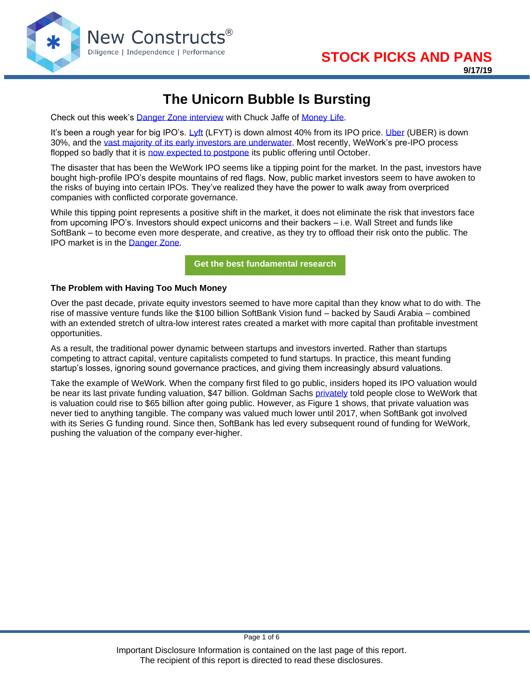

# **The Unicorn Bubble Is Bursting**

Check out this week's **Danger Zone interview** with Chuck Jaffe of [Money Life.](http://moneylifeshow.com/)

It's been a rough year for big IPO's. [Lyft](https://www.newconstructs.com/steer-clear-of-lyfts-ipo/) (LFYT) is down almost 40% from its IPO price. [Uber](https://www.newconstructs.com/uber-gives-investors-the-worst-of-both-worlds/) (UBER) is down 30%, and the [vast majority of its early investors are underwater.](https://www.axios.com/uber-ipo-investor-losses-d9b01daf-ece4-47d2-8f68-fe56dd98321b.html) Most recently, WeWork's pre-IPO process flopped so badly that it is [now expected to postpone](https://www.wsj.com/articles/wework-parent-expected-to-postpone-ipo-11568671322?mod=hp_lead_pos2) its public offering until October.

The disaster that has been the WeWork IPO seems like a tipping point for the market. In the past, investors have bought high-profile IPO's despite mountains of red flags. Now, public market investors seem to have awoken to the risks of buying into certain IPOs. They've realized they have the power to walk away from overpriced companies with conflicted corporate governance.

While this tipping point represents a positive shift in the market, it does not eliminate the risk that investors face from upcoming IPO's. Investors should expect unicorns and their backers – i.e. Wall Street and funds like SoftBank – to become even more desperate, and creative, as they try to offload their risk onto the public. The IPO market is in the [Danger Zone.](https://www.newconstructs.com/category/danger-zone/)

**[Get the best fundamental research](https://www.newconstructs.com/membership/)**

#### **The Problem with Having Too Much Money**

Over the past decade, private equity investors seemed to have more capital than they know what to do with. The rise of massive venture funds like the \$100 billion SoftBank Vision fund – backed by Saudi Arabia – combined with an extended stretch of ultra-low interest rates created a market with more capital than profitable investment opportunities.

As a result, the traditional power dynamic between startups and investors inverted. Rather than startups competing to attract capital, venture capitalists competed to fund startups. In practice, this meant funding startup's losses, ignoring sound governance practices, and giving them increasingly absurd valuations.

Take the example of WeWork. When the company first filed to go public, insiders hoped its IPO valuation would be near its last private funding valuation, \$47 billion. Goldman Sachs [privately](https://www.latimes.com/business/story/2019-09-11/wework-governance-changes-ipo) told people close to WeWork that is valuation could rise to \$65 billion after going public. However, as Figure 1 shows, that private valuation was never tied to anything tangible. The company was valued much lower until 2017, when SoftBank got involved with its Series G funding round. Since then, SoftBank has led every subsequent round of funding for WeWork, pushing the valuation of the company ever-higher.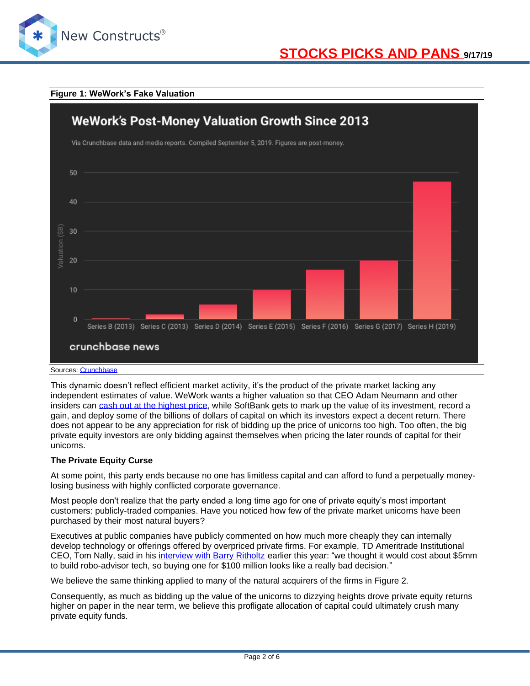

#### **Figure 1: WeWork's Fake Valuation**



This dynamic doesn't reflect efficient market activity, it's the product of the private market lacking any independent estimates of value. WeWork wants a higher valuation so that CEO Adam Neumann and other insiders can [cash out at the highest price,](https://www.wsj.com/articles/wework-co-founder-has-cashed-out-at-least-700-million-from-the-company-11563481395?mod=hp_lista_pos1) while SoftBank gets to mark up the value of its investment, record a gain, and deploy some of the billions of dollars of capital on which its investors expect a decent return. There does not appear to be any appreciation for risk of bidding up the price of unicorns too high. Too often, the big private equity investors are only bidding against themselves when pricing the later rounds of capital for their unicorns.

#### **The Private Equity Curse**

At some point, this party ends because no one has limitless capital and can afford to fund a perpetually moneylosing business with highly conflicted corporate governance.

Most people don't realize that the party ended a long time ago for one of private equity's most important customers: publicly-traded companies. Have you noticed how few of the private market unicorns have been purchased by their most natural buyers?

Executives at public companies have publicly commented on how much more cheaply they can internally develop technology or offerings offered by overpriced private firms. For example, TD Ameritrade Institutional CEO, Tom Nally, said in his [interview with Barry Ritholtz](https://ritholtz.com/2019/07/bonus-pod-hockey-nally/) earlier this year: "we thought it would cost about \$5mm to build robo-advisor tech, so buying one for \$100 million looks like a really bad decision."

We believe the same thinking applied to many of the natural acquirers of the firms in Figure 2.

Consequently, as much as bidding up the value of the unicorns to dizzying heights drove private equity returns higher on paper in the near term, we believe this profligate allocation of capital could ultimately crush many private equity funds.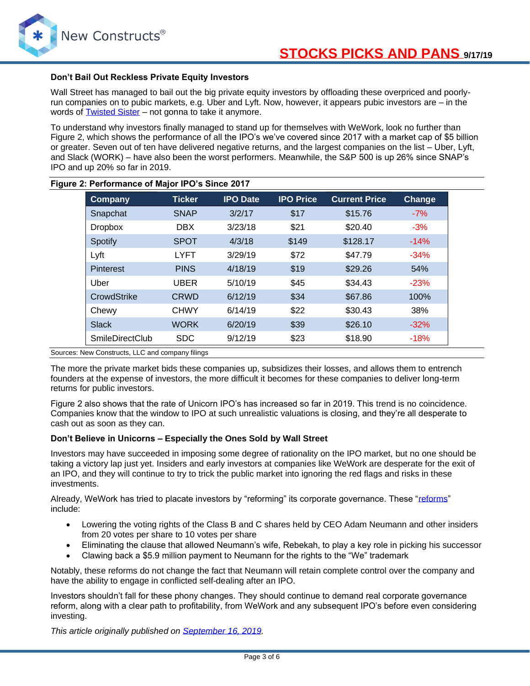

#### **Don't Bail Out Reckless Private Equity Investors**

Wall Street has managed to bail out the big private equity investors by offloading these overpriced and poorlyrun companies on to pubic markets, e.g. Uber and Lyft. Now, however, it appears pubic investors are – in the words of **Twisted Sister** – not gonna to take it anymore.

To understand why investors finally managed to stand up for themselves with WeWork, look no further than Figure 2, which shows the performance of all the IPO's we've covered since 2017 with a market cap of \$5 billion or greater. Seven out of ten have delivered negative returns, and the largest companies on the list – Uber, Lyft, and Slack (WORK) – have also been the worst performers. Meanwhile, the S&P 500 is up 26% since SNAP's IPO and up 20% so far in 2019.

| Company                | <b>Ticker</b> | <b>IPO Date</b> | <b>IPO Price</b> | <b>Current Price</b> | Change |
|------------------------|---------------|-----------------|------------------|----------------------|--------|
| Snapchat               | <b>SNAP</b>   | 3/2/17          | \$17             | \$15.76              | $-7%$  |
| <b>Dropbox</b>         | <b>DBX</b>    | 3/23/18         | \$21             | \$20.40              | $-3%$  |
| Spotify                | <b>SPOT</b>   | 4/3/18          | \$149            | \$128.17             | $-14%$ |
| Lyft                   | <b>LYFT</b>   | 3/29/19         | \$72             | \$47.79              | $-34%$ |
| <b>Pinterest</b>       | <b>PINS</b>   | 4/18/19         | \$19             | \$29.26              | 54%    |
| Uber                   | <b>UBER</b>   | 5/10/19         | \$45             | \$34.43              | $-23%$ |
| CrowdStrike            | <b>CRWD</b>   | 6/12/19         | \$34             | \$67.86              | 100%   |
| Chewy                  | <b>CHWY</b>   | 6/14/19         | \$22             | \$30.43              | 38%    |
| <b>Slack</b>           | <b>WORK</b>   | 6/20/19         | \$39             | \$26.10              | $-32%$ |
| <b>SmileDirectClub</b> | <b>SDC</b>    | 9/12/19         | \$23             | \$18.90              | $-18%$ |

#### **Figure 2: Performance of Major IPO's Since 2017**

Sources: New Constructs, LLC and company filings

The more the private market bids these companies up, subsidizes their losses, and allows them to entrench founders at the expense of investors, the more difficult it becomes for these companies to deliver long-term returns for public investors.

Figure 2 also shows that the rate of Unicorn IPO's has increased so far in 2019. This trend is no coincidence. Companies know that the window to IPO at such unrealistic valuations is closing, and they're all desperate to cash out as soon as they can.

#### **Don't Believe in Unicorns – Especially the Ones Sold by Wall Street**

Investors may have succeeded in imposing some degree of rationality on the IPO market, but no one should be taking a victory lap just yet. Insiders and early investors at companies like WeWork are desperate for the exit of an IPO, and they will continue to try to trick the public market into ignoring the red flags and risks in these investments.

Already, WeWork has tried to placate investors by "reforming" its corporate governance. These ["reforms"](https://www.barrons.com/articles/wework-changes-corporate-governance-ahead-of-ipo-51568391861) include:

- Lowering the voting rights of the Class B and C shares held by CEO Adam Neumann and other insiders from 20 votes per share to 10 votes per share
- Eliminating the clause that allowed Neumann's wife, Rebekah, to play a key role in picking his successor
- Clawing back a \$5.9 million payment to Neumann for the rights to the "We" trademark

Notably, these reforms do not change the fact that Neumann will retain complete control over the company and have the ability to engage in conflicted self-dealing after an IPO.

Investors shouldn't fall for these phony changes. They should continue to demand real corporate governance reform, along with a clear path to profitability, from WeWork and any subsequent IPO's before even considering investing.

*This article originally published on [September 16, 2019.](https://www.newconstructs.com/the-unicorn-bubble-is-bursting/)*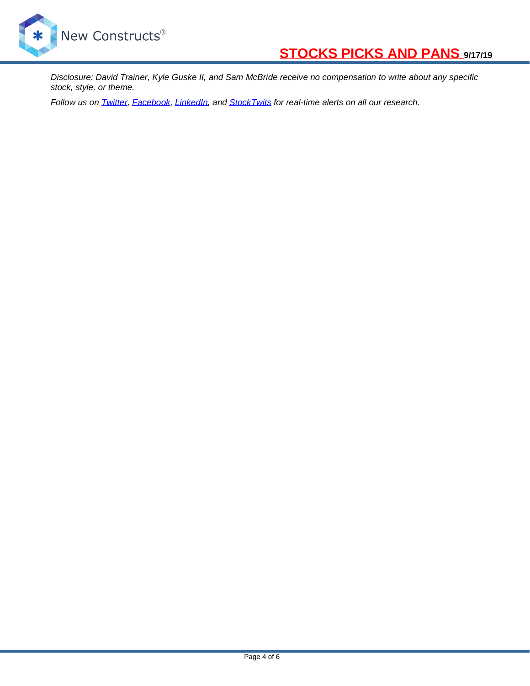

*Disclosure: David Trainer, Kyle Guske II, and Sam McBride receive no compensation to write about any specific stock, style, or theme.*

*Follow us on [Twitter,](https://twitter.com/NewConstructs) [Facebook,](https://www.facebook.com/newconstructsllc/) [LinkedIn,](https://www.linkedin.com/company/new-constructs) and [StockTwits](https://stocktwits.com/dtrainer_NewConstructs) for real-time alerts on all our research.*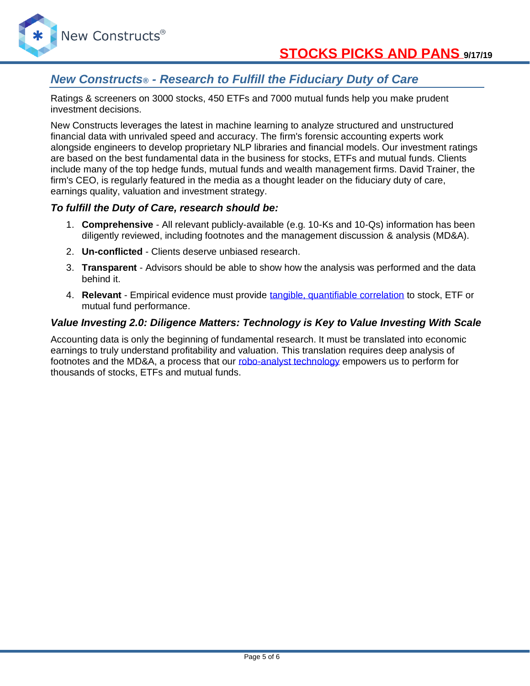

# *New Constructs® - Research to Fulfill the Fiduciary Duty of Care*

Ratings & screeners on 3000 stocks, 450 ETFs and 7000 mutual funds help you make prudent investment decisions.

New Constructs leverages the latest in machine learning to analyze structured and unstructured financial data with unrivaled speed and accuracy. The firm's forensic accounting experts work alongside engineers to develop proprietary NLP libraries and financial models. Our investment ratings are based on the best fundamental data in the business for stocks, ETFs and mutual funds. Clients include many of the top hedge funds, mutual funds and wealth management firms. David Trainer, the firm's CEO, is regularly featured in the media as a thought leader on the fiduciary duty of care, earnings quality, valuation and investment strategy.

### *To fulfill the Duty of Care, research should be:*

- 1. **Comprehensive** All relevant publicly-available (e.g. 10-Ks and 10-Qs) information has been diligently reviewed, including footnotes and the management discussion & analysis (MD&A).
- 2. **Un-conflicted** Clients deserve unbiased research.
- 3. **Transparent** Advisors should be able to show how the analysis was performed and the data behind it.
- 4. **Relevant** Empirical evidence must provide [tangible, quantifiable correlation](https://www.newconstructs.com/roic-paradigm-linking-corporate-performance-valuation/) to stock, ETF or mutual fund performance.

### *Value Investing 2.0: Diligence Matters: Technology is Key to Value Investing With Scale*

Accounting data is only the beginning of fundamental research. It must be translated into economic earnings to truly understand profitability and valuation. This translation requires deep analysis of footnotes and the MD&A, a process that our [robo-analyst technology](https://www.newconstructs.com/technology/) empowers us to perform for thousands of stocks, ETFs and mutual funds.